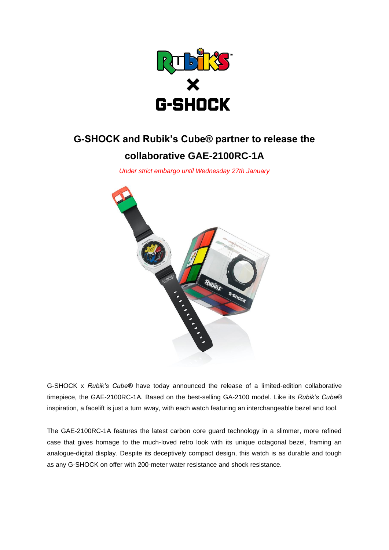

# **G-SHOCK and Rubik's Cube® partner to release the collaborative GAE-2100RC-1A**

*Under strict embargo until Wednesday 27th January*



G-SHOCK x *Rubik's Cube®* have today announced the release of a limited-edition collaborative timepiece, the GAE-2100RC-1A. Based on the best-selling GA-2100 model. Like its *Rubik's Cube®* inspiration, a facelift is just a turn away, with each watch featuring an interchangeable bezel and tool.

The GAE-2100RC-1A features the latest carbon core guard technology in a slimmer, more refined case that gives homage to the much-loved retro look with its unique octagonal bezel, framing an analogue-digital display. Despite its deceptively compact design, this watch is as durable and tough as any G-SHOCK on offer with 200-meter water resistance and shock resistance.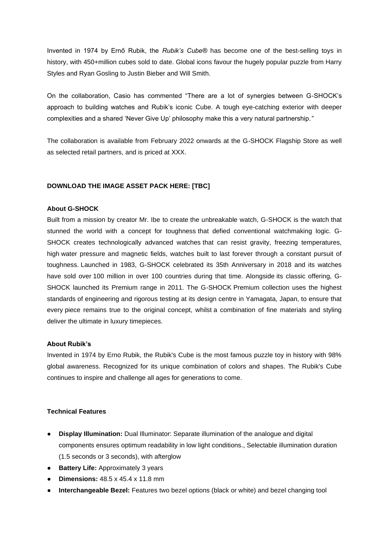Invented in 1974 by Ernő Rubik, the *Rubik's Cube®* has become one of the best-selling toys in history, with 450+million cubes sold to date. Global icons favour the hugely popular puzzle from Harry Styles and Ryan Gosling to Justin Bieber and Will Smith.

On the collaboration, Casio has commented "There are a lot of synergies between G-SHOCK's approach to building watches and Rubik's iconic Cube. A tough eye-catching exterior with deeper complexities and a shared 'Never Give Up' philosophy make this a very natural partnership*."*

The collaboration is available from February 2022 onwards at the G-SHOCK Flagship Store as well as selected retail partners, and is priced at XXX.

## **DOWNLOAD THE IMAGE ASSET PACK HERE: [TBC]**

#### **About G-SHOCK**

Built from a mission by creator Mr. Ibe to create the unbreakable watch, G-SHOCK is the watch that stunned the world with a concept for toughness that defied conventional watchmaking logic. G-SHOCK creates technologically advanced watches that can resist gravity, freezing temperatures, high water pressure and magnetic fields, watches built to last forever through a constant pursuit of toughness. Launched in 1983, G-SHOCK celebrated its 35th Anniversary in 2018 and its watches have sold over 100 million in over 100 countries during that time. Alongside its classic offering, G-SHOCK launched its Premium range in 2011. The G-SHOCK Premium collection uses the highest standards of engineering and rigorous testing at its design centre in Yamagata, Japan, to ensure that every piece remains true to the original concept, whilst a combination of fine materials and styling deliver the ultimate in luxury timepieces.

## **About Rubik's**

Invented in 1974 by Erno Rubik, the Rubik's Cube is the most famous puzzle toy in history with 98% global awareness. Recognized for its unique combination of colors and shapes. The Rubik's Cube continues to inspire and challenge all ages for generations to come.

# **Technical Features**

- **Display Illumination:** Dual Illuminator: Separate illumination of the analogue and digital components ensures optimum readability in low light conditions., Selectable illumination duration (1.5 seconds or 3 seconds), with afterglow
- **Battery Life:** Approximately 3 years
- **Dimensions:** 48.5 x 45.4 x 11.8 mm
- **Interchangeable Bezel:** Features two bezel options (black or white) and bezel changing tool